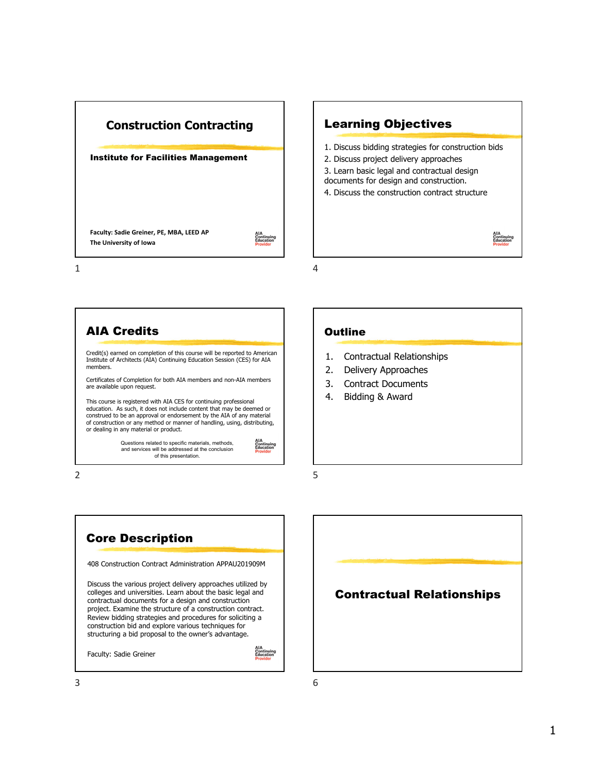

## Learning Objectives 1. Discuss bidding strategies for construction bids 2. Discuss project delivery approaches 3. Learn basic legal and contractual design documents for design and construction. 4. Discuss the construction contract structure AIA<br>Continuing<br>Education

4

5

**Outline** 

1. Contractual Relationships 2. Delivery Approaches 3. Contract Documents 4. Bidding & Award



2



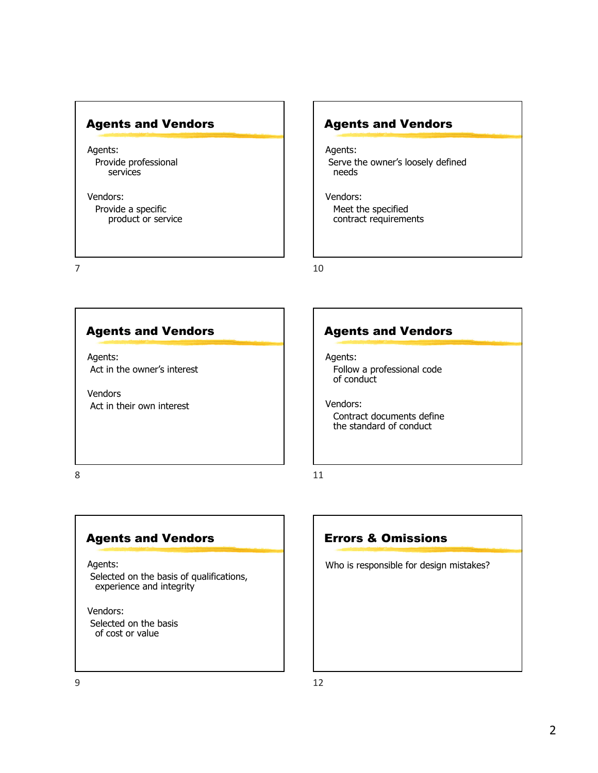#### Agents and Vendors

Agents: Provide professional services

Vendors: Provide a specific product or service

7

#### Agents and Vendors

Agents: Serve the owner's loosely defined needs

Vendors: Meet the specified contract requirements

10

#### Agents and Vendors

Agents: Act in the owner's interest

Vendors Act in their own interest

#### Agents and Vendors

Agents: Follow a professional code of conduct

Vendors: Contract documents define the standard of conduct

8

#### Agents and Vendors

Agents:

Selected on the basis of qualifications, experience and integrity

Vendors: Selected on the basis of cost or value

## 11

#### Errors & Omissions

Who is responsible for design mistakes?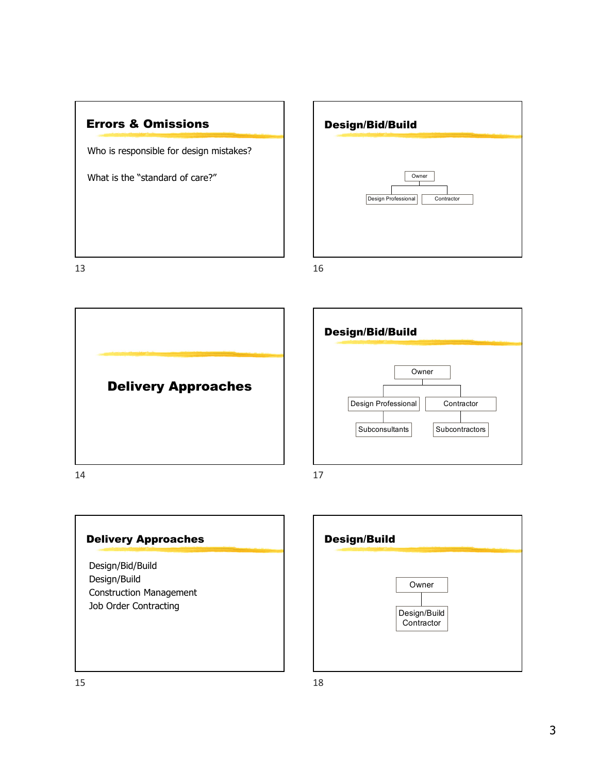



Delivery Approaches 14





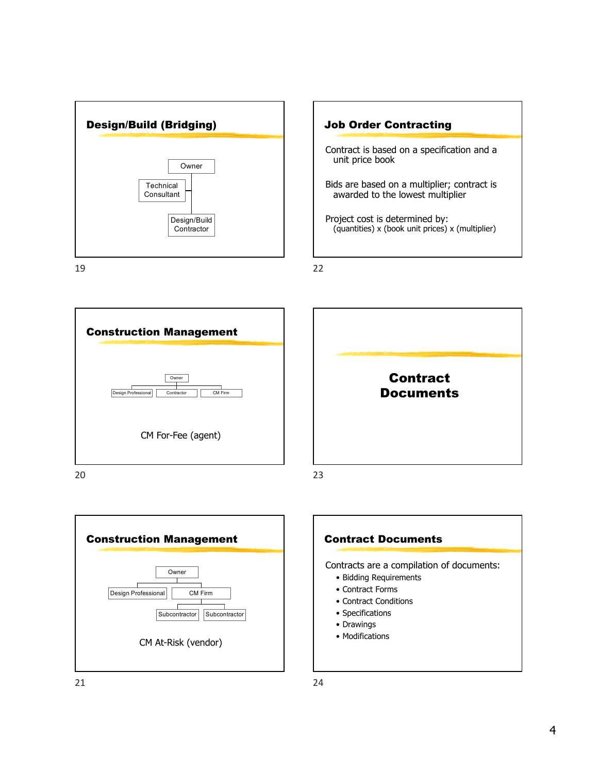

19



22



20





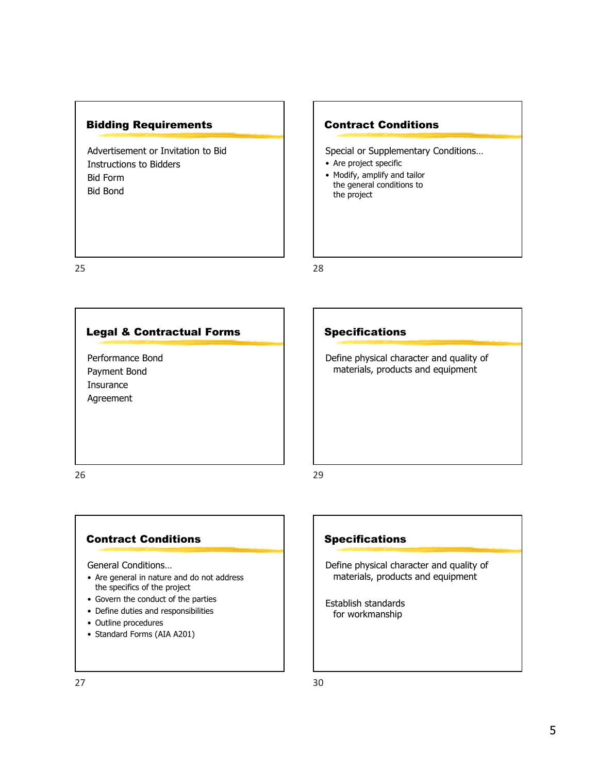#### Bidding Requirements

Advertisement or Invitation to Bid Instructions to Bidders Bid Form Bid Bond

#### Contract Conditions

Special or Supplementary Conditions…

- Are project specific
- Modify, amplify and tailor the general conditions to the project

25

#### Legal & Contractual Forms

Performance Bond Payment Bond Insurance Agreement

### Specifications

28

29

Define physical character and quality of materials, products and equipment

26

#### Contract Conditions

General Conditions…

- Are general in nature and do not address the specifics of the project
- Govern the conduct of the parties
- Define duties and responsibilities
- Outline procedures
- Standard Forms (AIA A201)

## **Specifications**

Define physical character and quality of materials, products and equipment

Establish standards for workmanship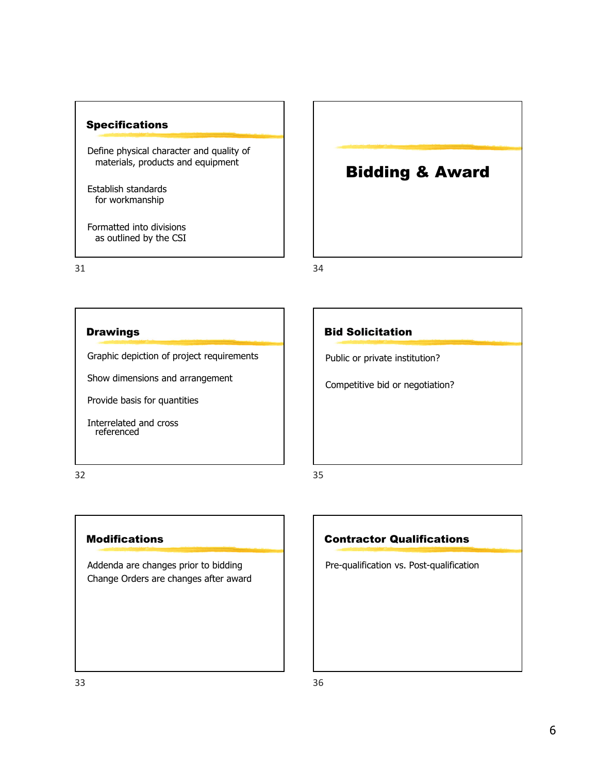#### Specifications

Define physical character and quality of materials, products and equipment

Establish standards for workmanship

Formatted into divisions as outlined by the CSI

31

34

#### **Drawings**

Graphic depiction of project requirements

Show dimensions and arrangement

Provide basis for quantities

Interrelated and cross referenced

32

#### Modifications

Addenda are changes prior to bidding Change Orders are changes after award

#### Bid Solicitation

Public or private institution?

Competitive bid or negotiation?

Bidding & Award

35

#### Contractor Qualifications

Pre-qualification vs. Post-qualification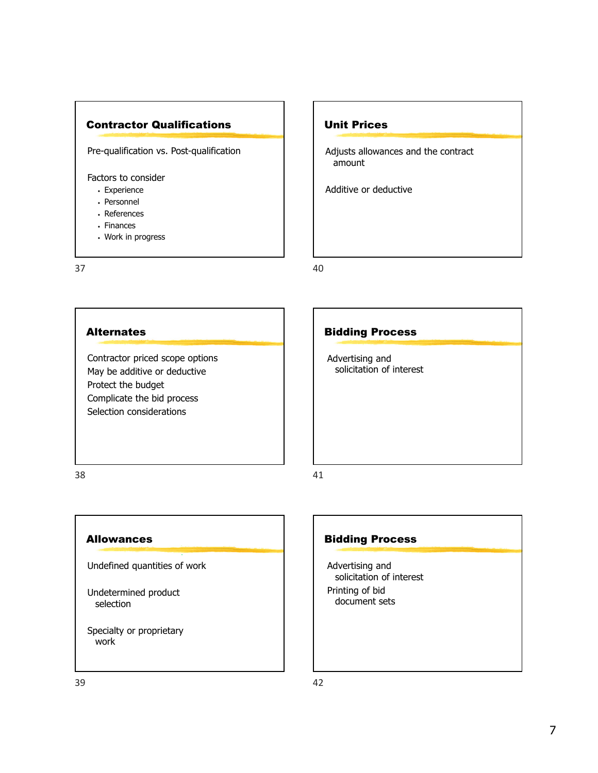

Pre-qualification vs. Post-qualification

Factors to consider

- Experience
- Personnel
- References
- Finances
- Work in progress

37

#### Unit Prices

Adjusts allowances and the contract amount

Additive or deductive

40

#### **Alternates**

Contractor priced scope options May be additive or deductive Protect the budget Complicate the bid process Selection considerations

#### Bidding Process

Advertising and solicitation of interest

38

#### Allowances

Undefined quantities of work

Undetermined product selection

Specialty or proprietary work

#### Bidding Process

Advertising and solicitation of interest Printing of bid document sets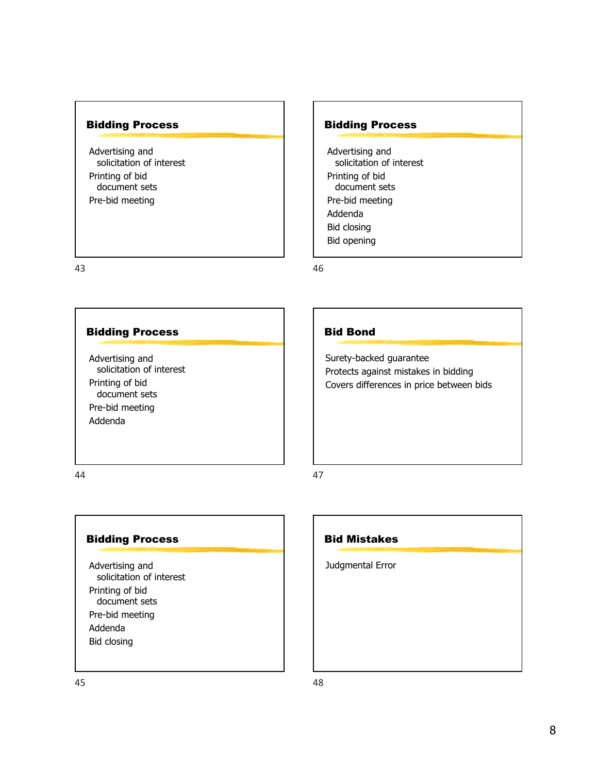#### Bidding Process

Advertising and solicitation of interest Printing of bid document sets Pre-bid meeting

43

#### Bidding Process

Advertising and solicitation of interest Printing of bid document sets Pre-bid meeting Addenda

44

#### Bidding Process

Advertising and solicitation of interest Printing of bid document sets Pre-bid meeting Addenda Bid closing



Bidding Process

solicitation of interest

Advertising and

Printing of bid document sets Pre-bid meeting

Addenda Bid closing Bid opening

46

47

Bid Bond

Surety-backed guarantee

Protects against mistakes in bidding Covers differences in price between bids

48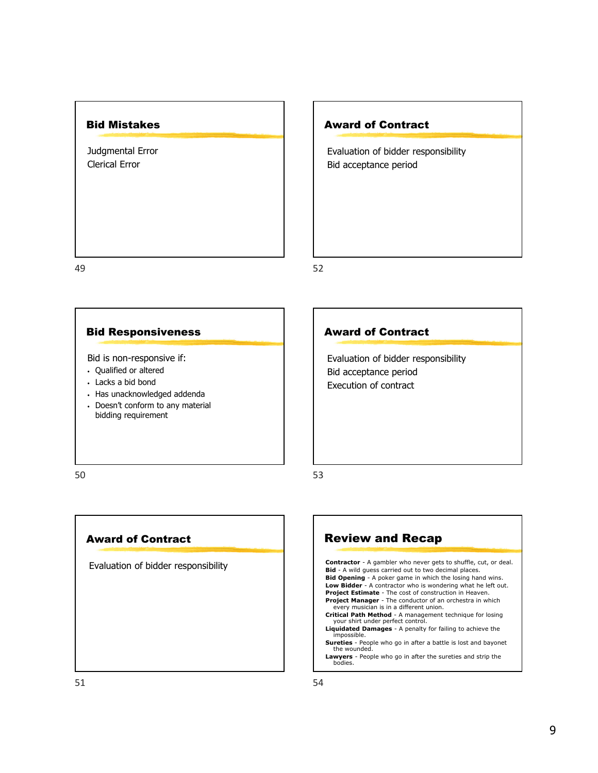#### Bid Mistakes

Judgmental Error Clerical Error

Award of Contract

Evaluation of bidder responsibility Bid acceptance period

49

52

53

#### Bid Responsiveness

Bid is non-responsive if:

- Qualified or altered
- Lacks a bid bond
- Has unacknowledged addenda
- Doesn't conform to any material bidding requirement

#### Award of Contract

Evaluation of bidder responsibility Bid acceptance period Execution of contract

50

#### Award of Contract

Evaluation of bidder responsibility

Review and Recap **Contractor** - A gambler who never gets to shuffle, cut, or deal. **Bid** - A wild guess carried out to two decimal places. **Bid Opening** - A poker game in which the losing hand wins.<br>**Low Bidder** - A contractor who is wondering what he left out.<br>**Project Estimate** - The cost of construction in Heaven. **Project Manager** - The conductor of an orchestra in which every musician is in a different union. **Critical Path Method** - A management technique for losing your shirt under perfect control. **Liquidated Damages** - A penalty for failing to achieve the impossible. **Sureties** - People who go in after a battle is lost and bayonet the wounded.

**Lawyers** - People who go in after the sureties and strip the bodies.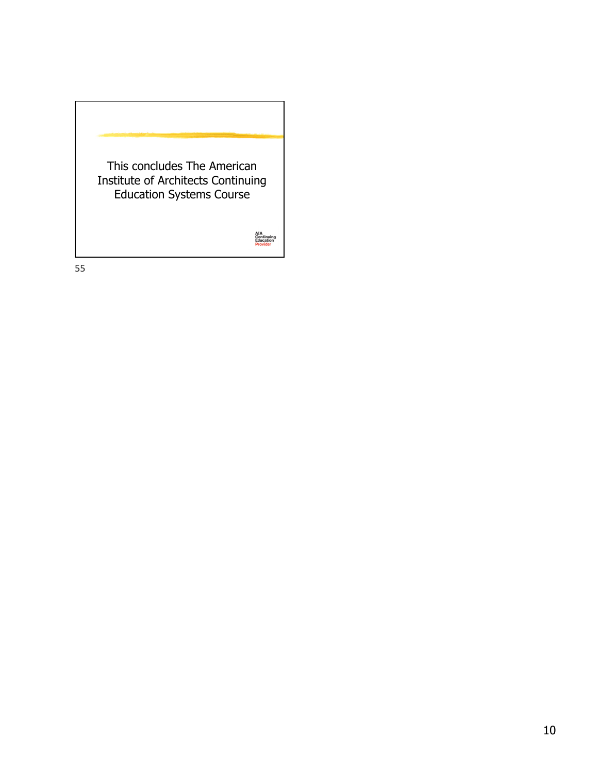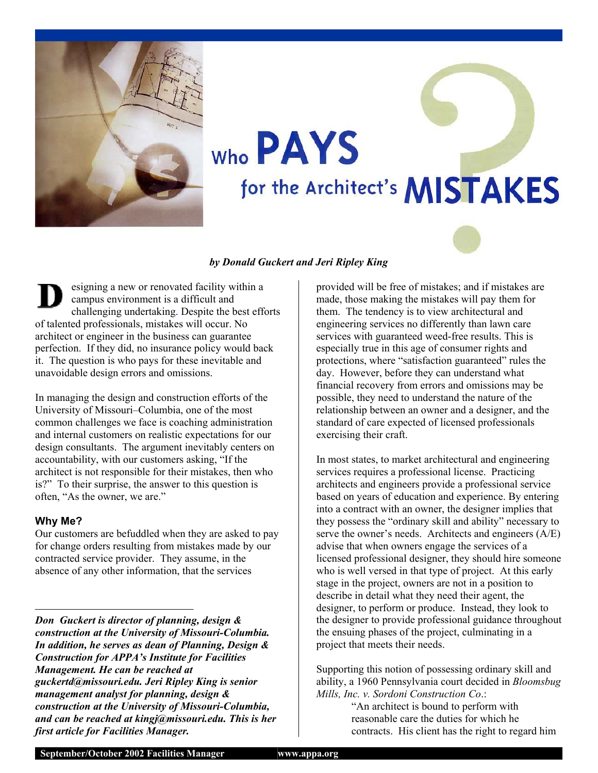

# Who PAYS for the Architect's MISTAKES

#### *by Donald Guckert and Jeri Ripley King*

esigning a new or renovated facility within a campus environment is a difficult and challenging undertaking. Despite the best efforts of talented professionals, mistakes will occur. No architect or engineer in the business can guarantee perfection. If they did, no insurance policy would back it. The question is who pays for these inevitable and unavoidable design errors and omissions.

In managing the design and construction efforts of the University of Missouri–Columbia, one of the most common challenges we face is coaching administration and internal customers on realistic expectations for our design consultants. The argument inevitably centers on accountability, with our customers asking, "If the architect is not responsible for their mistakes, then who is?" To their surprise, the answer to this question is often, "As the owner, we are."

#### **Why Me?**

Our customers are befuddled when they are asked to pay for change orders resulting from mistakes made by our contracted service provider. They assume, in the absence of any other information, that the services

*Don Guckert is director of planning, design & construction at the University of Missouri-Columbia. In addition, he serves as dean of Planning, Design & Construction for APPA's Institute for Facilities Management. He can be reached at [guckertd@missouri.edu](mailto:guckertd@missouri.edu). Jeri Ripley King is senior management analyst for planning, design & construction at the University of Missouri-Columbia, and can be reached at [kingj@missouri.edu](mailto:kingj@missouri.edu). This is her first article for Facilities Manager.* 

provided will be free of mistakes; and if mistakes are made, those making the mistakes will pay them for them. The tendency is to view architectural and engineering services no differently than lawn care services with guaranteed weed-free results. This is especially true in this age of consumer rights and protections, where "satisfaction guaranteed" rules the day. However, before they can understand what financial recovery from errors and omissions may be possible, they need to understand the nature of the relationship between an owner and a designer, and the standard of care expected of licensed professionals exercising their craft.

In most states, to market architectural and engineering services requires a professional license. Practicing architects and engineers provide a professional service based on years of education and experience. By entering into a contract with an owner, the designer implies that they possess the "ordinary skill and ability" necessary to serve the owner's needs. Architects and engineers (A/E) advise that when owners engage the services of a licensed professional designer, they should hire someone who is well versed in that type of project. At this early stage in the project, owners are not in a position to describe in detail what they need their agent, the designer, to perform or produce. Instead, they look to the designer to provide professional guidance throughout the ensuing phases of the project, culminating in a project that meets their needs.

Supporting this notion of possessing ordinary skill and ability, a 1960 Pennsylvania court decided in *Bloomsbug Mills, Inc. v. Sordoni Construction Co*.:

"An architect is bound to perform with reasonable care the duties for which he contracts. His client has the right to regard him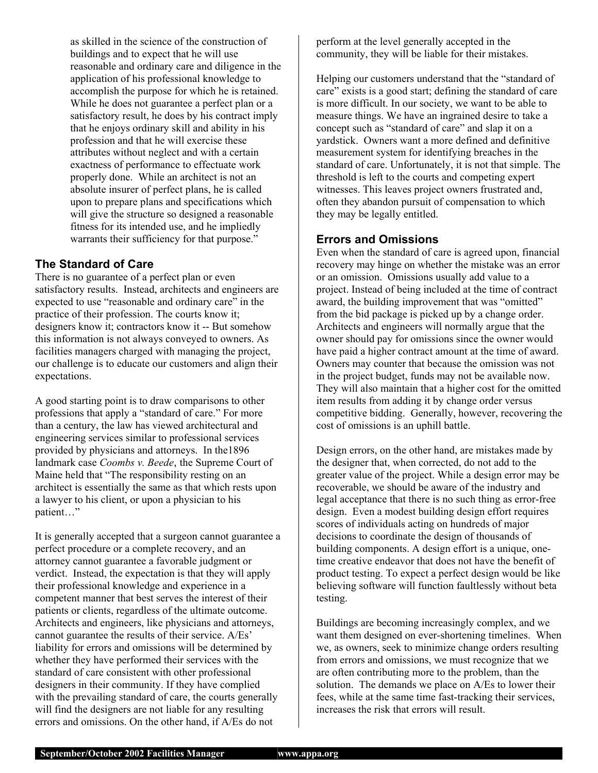as skilled in the science of the construction of buildings and to expect that he will use reasonable and ordinary care and diligence in the application of his professional knowledge to accomplish the purpose for which he is retained. While he does not guarantee a perfect plan or a satisfactory result, he does by his contract imply that he enjoys ordinary skill and ability in his profession and that he will exercise these attributes without neglect and with a certain exactness of performance to effectuate work properly done. While an architect is not an absolute insurer of perfect plans, he is called upon to prepare plans and specifications which will give the structure so designed a reasonable fitness for its intended use, and he impliedly warrants their sufficiency for that purpose."

#### **The Standard of Care**

There is no guarantee of a perfect plan or even satisfactory results. Instead, architects and engineers are expected to use "reasonable and ordinary care" in the practice of their profession. The courts know it; designers know it; contractors know it -- But somehow this information is not always conveyed to owners. As facilities managers charged with managing the project, our challenge is to educate our customers and align their expectations.

A good starting point is to draw comparisons to other professions that apply a "standard of care." For more than a century, the law has viewed architectural and engineering services similar to professional services provided by physicians and attorneys. In the1896 landmark case *Coombs v. Beede*, the Supreme Court of Maine held that "The responsibility resting on an architect is essentially the same as that which rests upon a lawyer to his client, or upon a physician to his patient…"

It is generally accepted that a surgeon cannot guarantee a perfect procedure or a complete recovery, and an attorney cannot guarantee a favorable judgment or verdict. Instead, the expectation is that they will apply their professional knowledge and experience in a competent manner that best serves the interest of their patients or clients, regardless of the ultimate outcome. Architects and engineers, like physicians and attorneys, cannot guarantee the results of their service. A/Es' liability for errors and omissions will be determined by whether they have performed their services with the standard of care consistent with other professional designers in their community. If they have complied with the prevailing standard of care, the courts generally will find the designers are not liable for any resulting errors and omissions. On the other hand, if A/Es do not

perform at the level generally accepted in the community, they will be liable for their mistakes.

Helping our customers understand that the "standard of care" exists is a good start; defining the standard of care is more difficult. In our society, we want to be able to measure things. We have an ingrained desire to take a concept such as "standard of care" and slap it on a yardstick. Owners want a more defined and definitive measurement system for identifying breaches in the standard of care. Unfortunately, it is not that simple. The threshold is left to the courts and competing expert witnesses. This leaves project owners frustrated and, often they abandon pursuit of compensation to which they may be legally entitled.

#### **Errors and Omissions**

Even when the standard of care is agreed upon, financial recovery may hinge on whether the mistake was an error or an omission. Omissions usually add value to a project. Instead of being included at the time of contract award, the building improvement that was "omitted" from the bid package is picked up by a change order. Architects and engineers will normally argue that the owner should pay for omissions since the owner would have paid a higher contract amount at the time of award. Owners may counter that because the omission was not in the project budget, funds may not be available now. They will also maintain that a higher cost for the omitted item results from adding it by change order versus competitive bidding. Generally, however, recovering the cost of omissions is an uphill battle.

Design errors, on the other hand, are mistakes made by the designer that, when corrected, do not add to the greater value of the project. While a design error may be recoverable, we should be aware of the industry and legal acceptance that there is no such thing as error-free design. Even a modest building design effort requires scores of individuals acting on hundreds of major decisions to coordinate the design of thousands of building components. A design effort is a unique, onetime creative endeavor that does not have the benefit of product testing. To expect a perfect design would be like believing software will function faultlessly without beta testing.

Buildings are becoming increasingly complex, and we want them designed on ever-shortening timelines. When we, as owners, seek to minimize change orders resulting from errors and omissions, we must recognize that we are often contributing more to the problem, than the solution. The demands we place on A/Es to lower their fees, while at the same time fast-tracking their services, increases the risk that errors will result.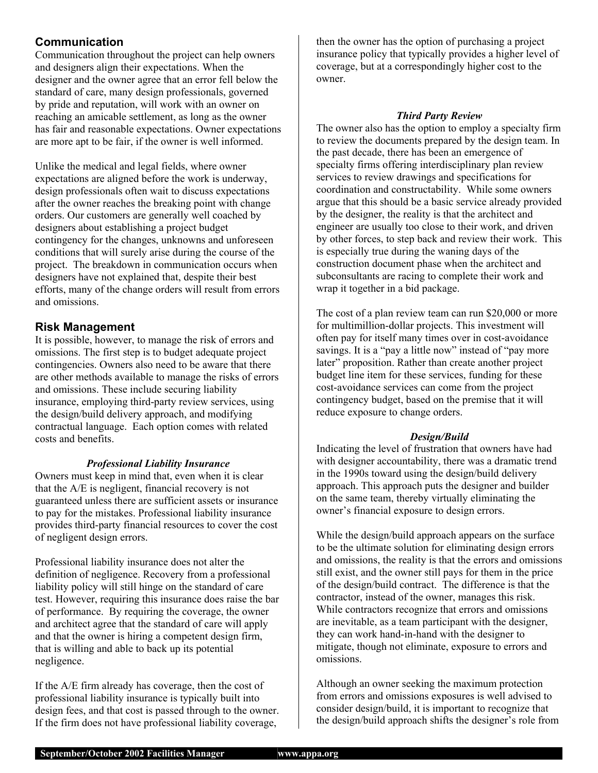#### **Communication**

Communication throughout the project can help owners and designers align their expectations. When the designer and the owner agree that an error fell below the standard of care, many design professionals, governed by pride and reputation, will work with an owner on reaching an amicable settlement, as long as the owner has fair and reasonable expectations. Owner expectations are more apt to be fair, if the owner is well informed.

Unlike the medical and legal fields, where owner expectations are aligned before the work is underway, design professionals often wait to discuss expectations after the owner reaches the breaking point with change orders. Our customers are generally well coached by designers about establishing a project budget contingency for the changes, unknowns and unforeseen conditions that will surely arise during the course of the project. The breakdown in communication occurs when designers have not explained that, despite their best efforts, many of the change orders will result from errors and omissions.

#### **Risk Management**

It is possible, however, to manage the risk of errors and omissions. The first step is to budget adequate project contingencies. Owners also need to be aware that there are other methods available to manage the risks of errors and omissions. These include securing liability insurance, employing third-party review services, using the design/build delivery approach, and modifying contractual language. Each option comes with related costs and benefits.

#### *Professional Liability Insurance*

Owners must keep in mind that, even when it is clear that the A/E is negligent, financial recovery is not guaranteed unless there are sufficient assets or insurance to pay for the mistakes. Professional liability insurance provides third-party financial resources to cover the cost of negligent design errors.

Professional liability insurance does not alter the definition of negligence. Recovery from a professional liability policy will still hinge on the standard of care test. However, requiring this insurance does raise the bar of performance. By requiring the coverage, the owner and architect agree that the standard of care will apply and that the owner is hiring a competent design firm, that is willing and able to back up its potential negligence.

If the A/E firm already has coverage, then the cost of professional liability insurance is typically built into design fees, and that cost is passed through to the owner. If the firm does not have professional liability coverage,

then the owner has the option of purchasing a project insurance policy that typically provides a higher level of coverage, but at a correspondingly higher cost to the owner.

#### *Third Party Review*

The owner also has the option to employ a specialty firm to review the documents prepared by the design team. In the past decade, there has been an emergence of specialty firms offering interdisciplinary plan review services to review drawings and specifications for coordination and constructability. While some owners argue that this should be a basic service already provided by the designer, the reality is that the architect and engineer are usually too close to their work, and driven by other forces, to step back and review their work. This is especially true during the waning days of the construction document phase when the architect and subconsultants are racing to complete their work and wrap it together in a bid package.

The cost of a plan review team can run \$20,000 or more for multimillion-dollar projects. This investment will often pay for itself many times over in cost-avoidance savings. It is a "pay a little now" instead of "pay more later" proposition. Rather than create another project budget line item for these services, funding for these cost-avoidance services can come from the project contingency budget, based on the premise that it will reduce exposure to change orders.

#### *Design/Build*

Indicating the level of frustration that owners have had with designer accountability, there was a dramatic trend in the 1990s toward using the design/build delivery approach. This approach puts the designer and builder on the same team, thereby virtually eliminating the owner's financial exposure to design errors.

While the design/build approach appears on the surface to be the ultimate solution for eliminating design errors and omissions, the reality is that the errors and omissions still exist, and the owner still pays for them in the price of the design/build contract. The difference is that the contractor, instead of the owner, manages this risk. While contractors recognize that errors and omissions are inevitable, as a team participant with the designer, they can work hand-in-hand with the designer to mitigate, though not eliminate, exposure to errors and omissions.

Although an owner seeking the maximum protection from errors and omissions exposures is well advised to consider design/build, it is important to recognize that the design/build approach shifts the designer's role from